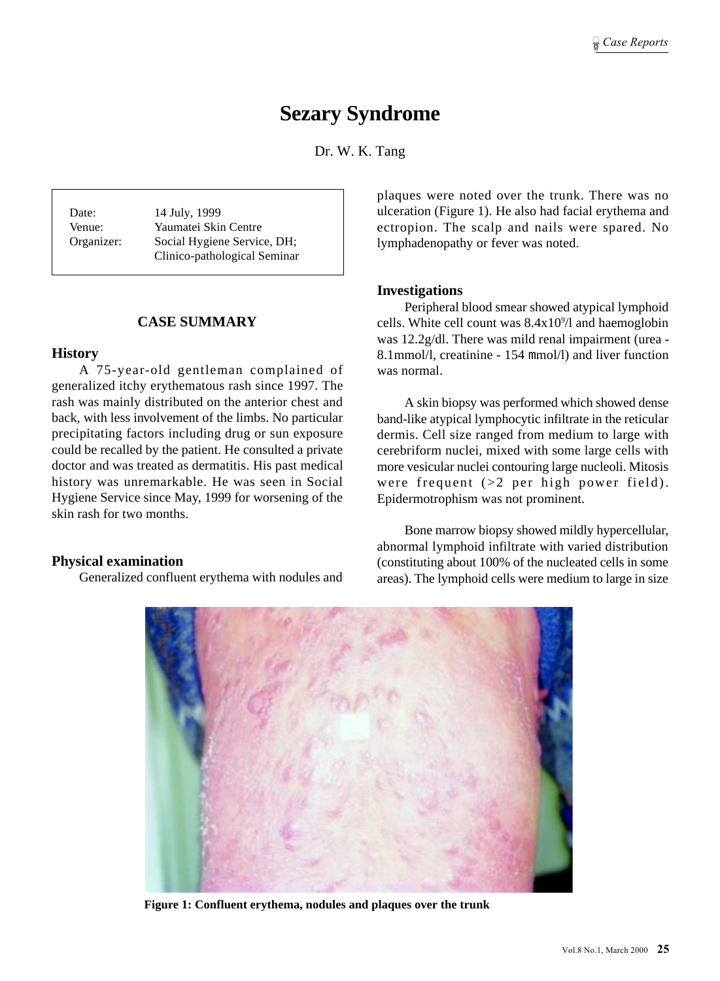# **Sezary Syndrome**

Dr. W. K. Tang

Date: 14 July, 1999 Venue: Yaumatei Skin Centre Organizer: Social Hygiene Service, DH; Clinico-pathological Seminar

#### **CASE SUMMARY**

#### **History**

A 75-year-old gentleman complained of generalized itchy erythematous rash since 1997. The rash was mainly distributed on the anterior chest and back, with less involvement of the limbs. No particular precipitating factors including drug or sun exposure could be recalled by the patient. He consulted a private doctor and was treated as dermatitis. His past medical history was unremarkable. He was seen in Social Hygiene Service since May, 1999 for worsening of the skin rash for two months.

#### **Physical examination**

Generalized confluent erythema with nodules and

plaques were noted over the trunk. There was no ulceration (Figure 1). He also had facial erythema and ectropion. The scalp and nails were spared. No lymphadenopathy or fever was noted.

#### **Investigations**

Peripheral blood smear showed atypical lymphoid cells. White cell count was  $8.4x10<sup>9</sup>/l$  and haemoglobin was 12.2g/dl. There was mild renal impairment (urea - 8.1mmol/l, creatinine - 154 mmol/l) and liver function was normal.

A skin biopsy was performed which showed dense band-like atypical lymphocytic infiltrate in the reticular dermis. Cell size ranged from medium to large with cerebriform nuclei, mixed with some large cells with more vesicular nuclei contouring large nucleoli. Mitosis were frequent (>2 per high power field). Epidermotrophism was not prominent.

Bone marrow biopsy showed mildly hypercellular, abnormal lymphoid infiltrate with varied distribution (constituting about 100% of the nucleated cells in some areas). The lymphoid cells were medium to large in size



**Figure 1: Confluent erythema, nodules and plaques over the trunk**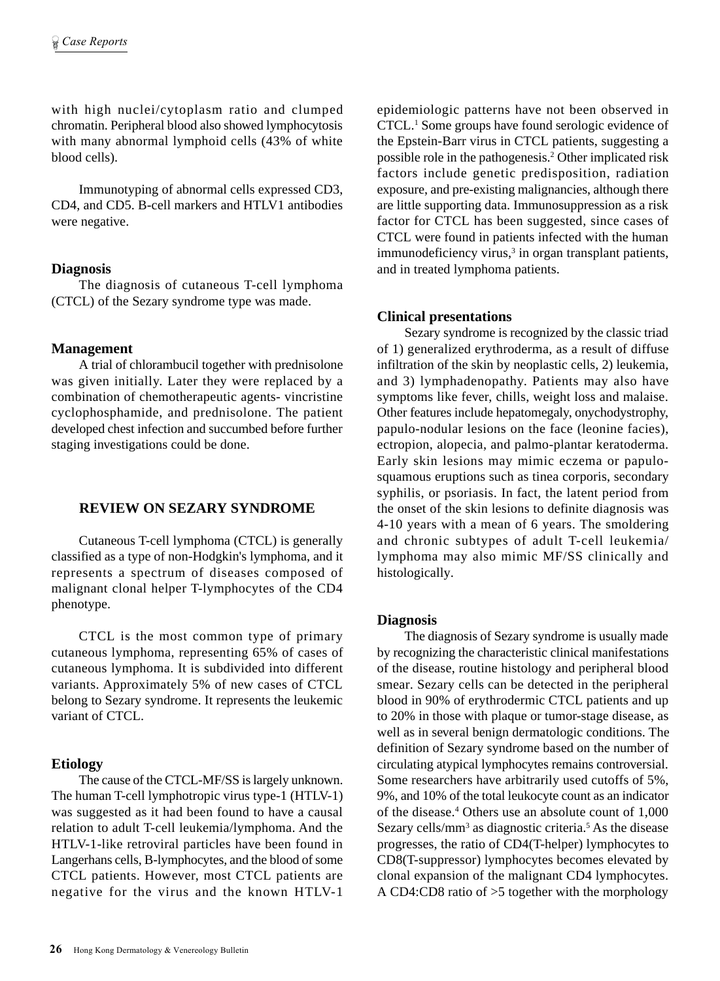with high nuclei/cytoplasm ratio and clumped chromatin. Peripheral blood also showed lymphocytosis with many abnormal lymphoid cells (43% of white blood cells).

Immunotyping of abnormal cells expressed CD3, CD4, and CD5. B-cell markers and HTLV1 antibodies were negative.

#### **Diagnosis**

The diagnosis of cutaneous T-cell lymphoma (CTCL) of the Sezary syndrome type was made.

#### **Management**

A trial of chlorambucil together with prednisolone was given initially. Later they were replaced by a combination of chemotherapeutic agents- vincristine cyclophosphamide, and prednisolone. The patient developed chest infection and succumbed before further staging investigations could be done.

## **REVIEW ON SEZARY SYNDROME**

Cutaneous T-cell lymphoma (CTCL) is generally classified as a type of non-Hodgkin's lymphoma, and it represents a spectrum of diseases composed of malignant clonal helper T-lymphocytes of the CD4 phenotype.

CTCL is the most common type of primary cutaneous lymphoma, representing 65% of cases of cutaneous lymphoma. It is subdivided into different variants. Approximately 5% of new cases of CTCL belong to Sezary syndrome. It represents the leukemic variant of CTCL.

## **Etiology**

The cause of the CTCL-MF/SS is largely unknown. The human T-cell lymphotropic virus type-1 (HTLV-1) was suggested as it had been found to have a causal relation to adult T-cell leukemia/lymphoma. And the HTLV-1-like retroviral particles have been found in Langerhans cells, B-lymphocytes, and the blood of some CTCL patients. However, most CTCL patients are negative for the virus and the known HTLV-1

epidemiologic patterns have not been observed in CTCL.1 Some groups have found serologic evidence of the Epstein-Barr virus in CTCL patients, suggesting a possible role in the pathogenesis.2 Other implicated risk factors include genetic predisposition, radiation exposure, and pre-existing malignancies, although there are little supporting data. Immunosuppression as a risk factor for CTCL has been suggested, since cases of CTCL were found in patients infected with the human  $immunodeficiency \, virus$ , $3$  in organ transplant patients, and in treated lymphoma patients.

## **Clinical presentations**

Sezary syndrome is recognized by the classic triad of 1) generalized erythroderma, as a result of diffuse infiltration of the skin by neoplastic cells, 2) leukemia, and 3) lymphadenopathy. Patients may also have symptoms like fever, chills, weight loss and malaise. Other features include hepatomegaly, onychodystrophy, papulo-nodular lesions on the face (leonine facies), ectropion, alopecia, and palmo-plantar keratoderma. Early skin lesions may mimic eczema or papulosquamous eruptions such as tinea corporis, secondary syphilis, or psoriasis. In fact, the latent period from the onset of the skin lesions to definite diagnosis was 4-10 years with a mean of 6 years. The smoldering and chronic subtypes of adult T-cell leukemia/ lymphoma may also mimic MF/SS clinically and histologically.

#### **Diagnosis**

The diagnosis of Sezary syndrome is usually made by recognizing the characteristic clinical manifestations of the disease, routine histology and peripheral blood smear. Sezary cells can be detected in the peripheral blood in 90% of erythrodermic CTCL patients and up to 20% in those with plaque or tumor-stage disease, as well as in several benign dermatologic conditions. The definition of Sezary syndrome based on the number of circulating atypical lymphocytes remains controversial. Some researchers have arbitrarily used cutoffs of 5%, 9%, and 10% of the total leukocyte count as an indicator of the disease.4 Others use an absolute count of 1,000 Sezary cells/mm<sup>3</sup> as diagnostic criteria.<sup>5</sup> As the disease progresses, the ratio of CD4(T-helper) lymphocytes to CD8(T-suppressor) lymphocytes becomes elevated by clonal expansion of the malignant CD4 lymphocytes. A CD4:CD8 ratio of >5 together with the morphology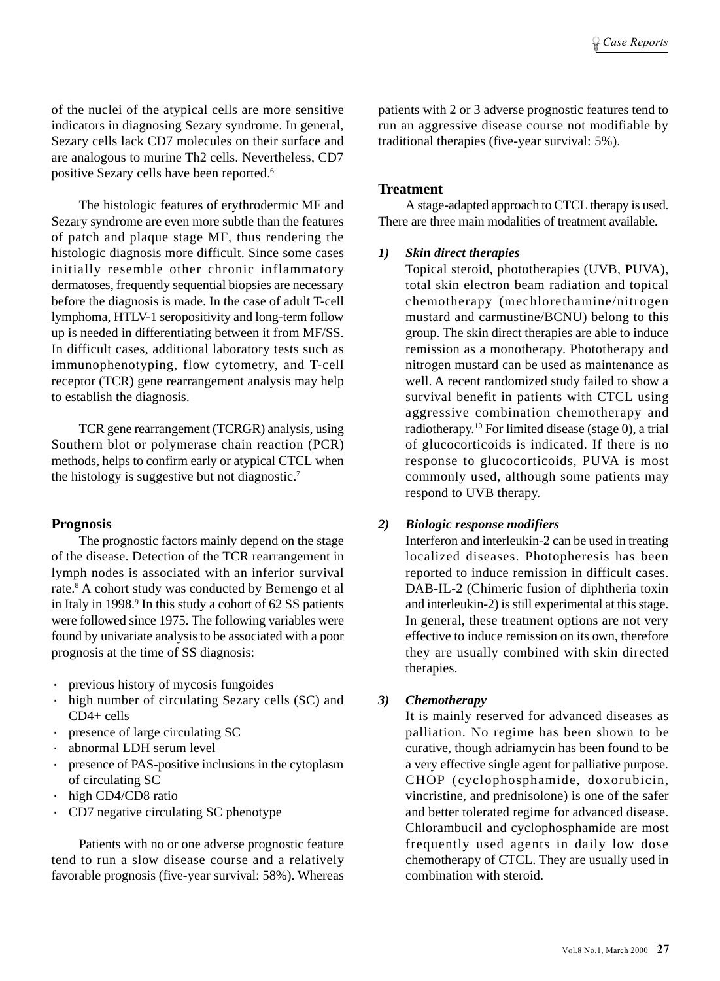of the nuclei of the atypical cells are more sensitive indicators in diagnosing Sezary syndrome. In general, Sezary cells lack CD7 molecules on their surface and are analogous to murine Th2 cells. Nevertheless, CD7 positive Sezary cells have been reported.6

The histologic features of erythrodermic MF and Sezary syndrome are even more subtle than the features of patch and plaque stage MF, thus rendering the histologic diagnosis more difficult. Since some cases initially resemble other chronic inflammatory dermatoses, frequently sequential biopsies are necessary before the diagnosis is made. In the case of adult T-cell lymphoma, HTLV-1 seropositivity and long-term follow up is needed in differentiating between it from MF/SS. In difficult cases, additional laboratory tests such as immunophenotyping, flow cytometry, and T-cell receptor (TCR) gene rearrangement analysis may help to establish the diagnosis.

TCR gene rearrangement (TCRGR) analysis, using Southern blot or polymerase chain reaction (PCR) methods, helps to confirm early or atypical CTCL when the histology is suggestive but not diagnostic.7

## **Prognosis**

The prognostic factors mainly depend on the stage of the disease. Detection of the TCR rearrangement in lymph nodes is associated with an inferior survival rate.8 A cohort study was conducted by Bernengo et al in Italy in 1998.<sup>9</sup> In this study a cohort of 62 SS patients were followed since 1975. The following variables were found by univariate analysis to be associated with a poor prognosis at the time of SS diagnosis:

- · previous history of mycosis fungoides
- · high number of circulating Sezary cells (SC) and CD4+ cells
- presence of large circulating SC
- abnormal LDH serum level
- presence of PAS-positive inclusions in the cytoplasm of circulating SC
- high CD4/CD8 ratio
- · CD7 negative circulating SC phenotype

Patients with no or one adverse prognostic feature tend to run a slow disease course and a relatively favorable prognosis (five-year survival: 58%). Whereas patients with 2 or 3 adverse prognostic features tend to run an aggressive disease course not modifiable by traditional therapies (five-year survival: 5%).

Case Reports

## **Treatment**

A stage-adapted approach to CTCL therapy is used. There are three main modalities of treatment available.

## *1) Skin direct therapies*

Topical steroid, phototherapies (UVB, PUVA), total skin electron beam radiation and topical chemotherapy (mechlorethamine/nitrogen mustard and carmustine/BCNU) belong to this group. The skin direct therapies are able to induce remission as a monotherapy. Phototherapy and nitrogen mustard can be used as maintenance as well. A recent randomized study failed to show a survival benefit in patients with CTCL using aggressive combination chemotherapy and radiotherapy.10 For limited disease (stage 0), a trial of glucocorticoids is indicated. If there is no response to glucocorticoids, PUVA is most commonly used, although some patients may respond to UVB therapy.

# *2) Biologic response modifiers*

Interferon and interleukin-2 can be used in treating localized diseases. Photopheresis has been reported to induce remission in difficult cases. DAB-IL-2 (Chimeric fusion of diphtheria toxin and interleukin-2) is still experimental at this stage. In general, these treatment options are not very effective to induce remission on its own, therefore they are usually combined with skin directed therapies.

## *3) Chemotherapy*

It is mainly reserved for advanced diseases as palliation. No regime has been shown to be curative, though adriamycin has been found to be a very effective single agent for palliative purpose. CHOP (cyclophosphamide, doxorubicin, vincristine, and prednisolone) is one of the safer and better tolerated regime for advanced disease. Chlorambucil and cyclophosphamide are most frequently used agents in daily low dose chemotherapy of CTCL. They are usually used in combination with steroid.